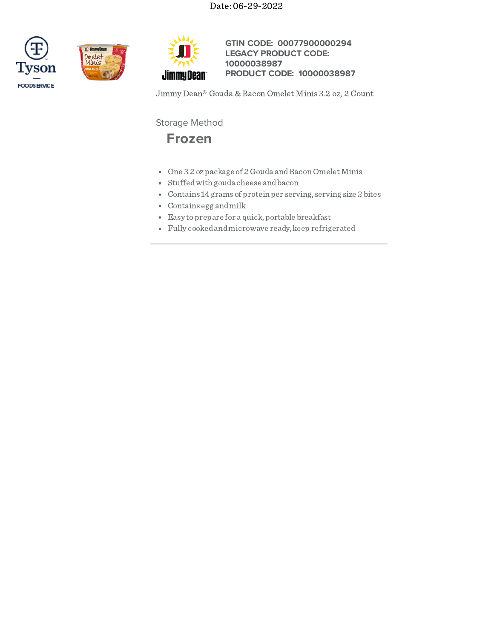Date: 06-29-2022







**GTIN CODE: 00077900000294 LEGACY PRODUCT CODE: PRODUCT CODE: 10000038987 10000038987**

Jimmy Dean® Gouda & Bacon Omelet Minis 3.2 oz, 2 Count

Storage Method



- One 3.2 ozpackage of 2 Gouda and Bacon Omelet Minis
- Stuffedwith gouda cheese andbacon
- Contains 14 grams of protein per serving, serving size 2 bites
- Contains egg andmilk
- Easy toprepare for a quick, portable breakfast
- Fully cookedandmicrowave ready, keep refrigerated